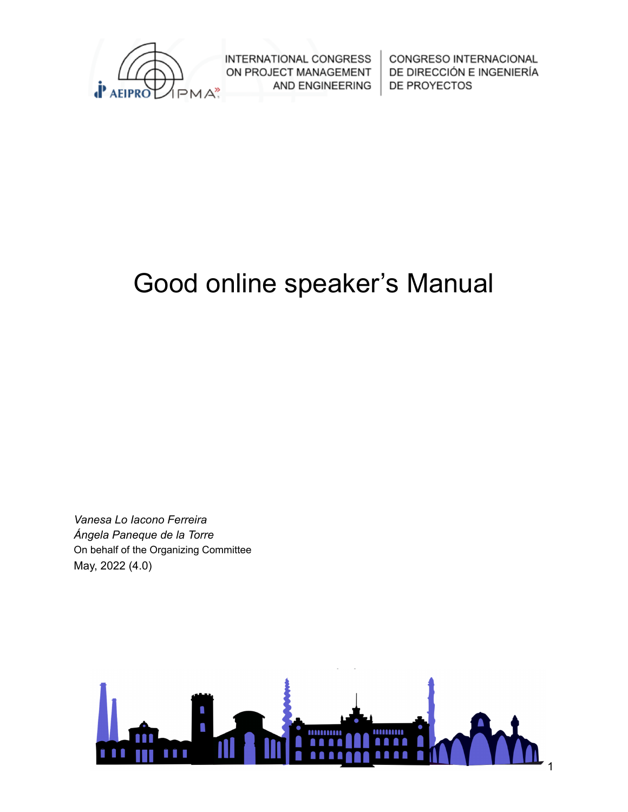

CONGRESO INTERNACIONAL DE DIRECCIÓN E INGENIERÍA DE PROYECTOS

# Good online speaker's Manual

*Vanesa Lo Iacono Ferreira Ángela Paneque de la Torre* On behalf of the Organizing Committee May, 2022 (4.0)

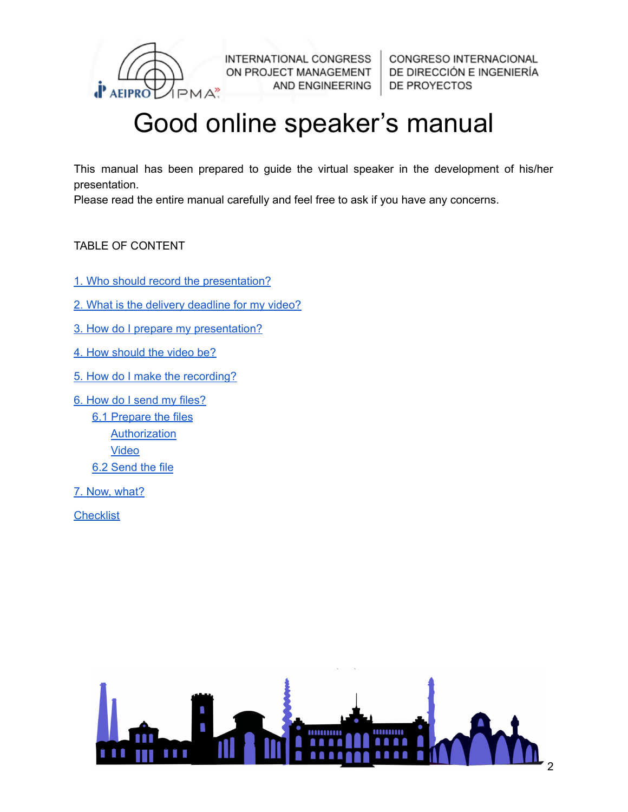

CONGRESO INTERNACIONAL DE DIRECCIÓN E INGENIERÍA DE PROYECTOS

# Good online speaker's manual

This manual has been prepared to guide the virtual speaker in the development of his/her presentation.

Please read the entire manual carefully and feel free to ask if you have any concerns.

#### TABLE OF CONTENT

- 1. Who should record the [presentation?](#page-2-0)
- 2. What is the delivery [deadline](#page-2-1) for my video?
- 3. How do I prepare my [presentation?](#page-2-2)
- 4. How [should](#page-3-0) the video be?
- 5. How do I make the [recording?](#page-4-0)
- 6. How do I send my [files?](#page-5-0)
	- 6.1 [Prepare](#page-5-1) the files **[Authorization](#page-5-2)** [Video](#page-5-3) 6.2 [Send](#page-6-0) the file
- 7. Now, [what?](#page-7-0)

**[Checklist](#page-8-0)** 

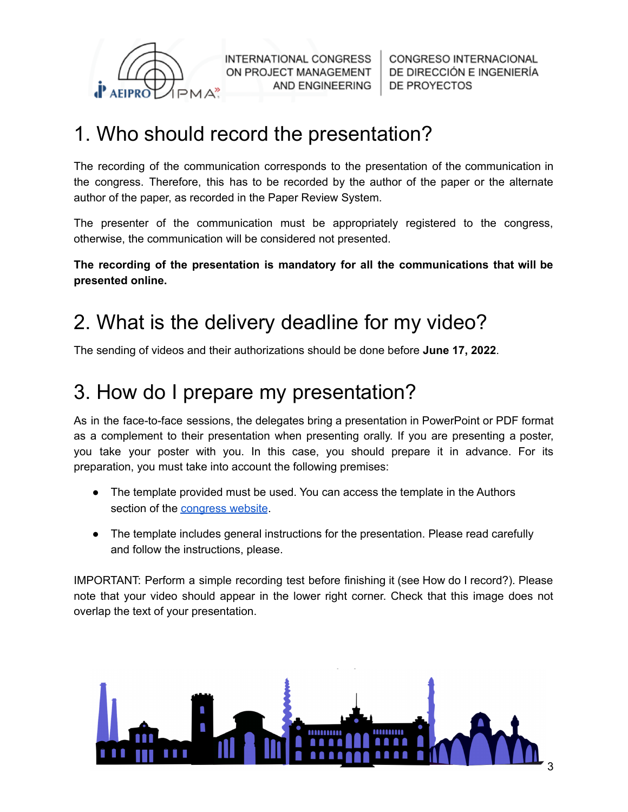

CONGRESO INTERNACIONAL DE DIRECCIÓN E INGENIERÍA **DE PROYECTOS** 

## <span id="page-2-0"></span>1. Who should record the presentation?

The recording of the communication corresponds to the presentation of the communication in the congress. Therefore, this has to be recorded by the author of the paper or the alternate author of the paper, as recorded in the Paper Review System.

The presenter of the communication must be appropriately registered to the congress, otherwise, the communication will be considered not presented.

**The recording of the presentation is mandatory for all the communications that will be presented online.**

## <span id="page-2-1"></span>2. What is the delivery deadline for my video?

<span id="page-2-2"></span>The sending of videos and their authorizations should be done before **June 17, 2022**.

### 3. How do I prepare my presentation?

As in the face-to-face sessions, the delegates bring a presentation in PowerPoint or PDF format as a complement to their presentation when presenting orally. If you are presenting a poster, you take your poster with you. In this case, you should prepare it in advance. For its preparation, you must take into account the following premises:

- The template provided must be used. You can access the template in the Authors section of the [congress](https://congresos.aeipro.com/authors) website.
- The template includes general instructions for the presentation. Please read carefully and follow the instructions, please.

IMPORTANT: Perform a simple recording test before finishing it (see How do I record?). Please note that your video should appear in the lower right corner. Check that this image does not overlap the text of your presentation.

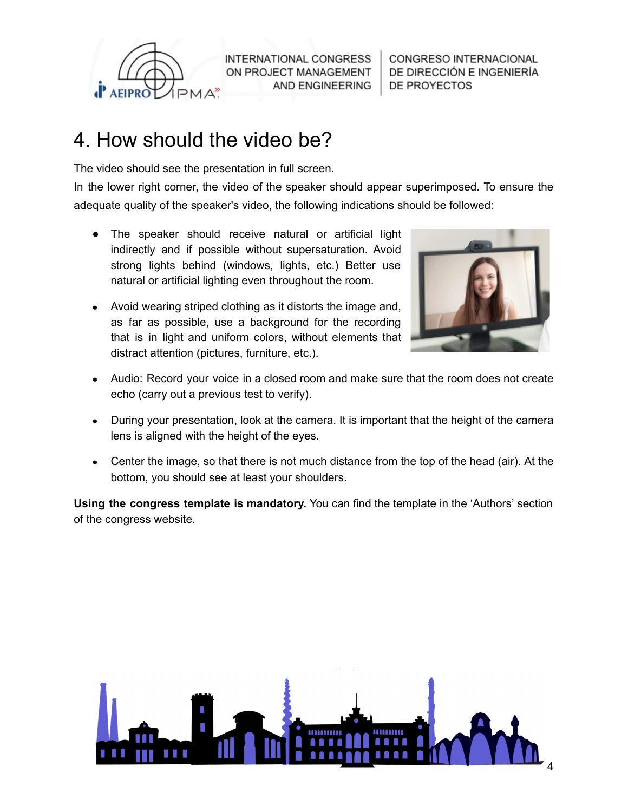

CONGRESO INTERNACIONAL DE DIRECCIÓN E INGENIERÍA **DE PROYECTOS** 

### <span id="page-3-0"></span>4. How should the video be?

The video should see the presentation in full screen.

In the lower right corner, the video of the speaker should appear superimposed. To ensure the adequate quality of the speaker's video, the following indications should be followed:

- The speaker should receive natural or artificial light indirectly and if possible without supersaturation. Avoid strong lights behind (windows, lights, etc.) Better use natural or artificial lighting even throughout the room.
- Avoid wearing striped clothing as it distorts the image and, as far as possible, use a background for the recording that is in light and uniform colors, without elements that distract attention (pictures, furniture, etc.).



- Audio: Record your voice in a closed room and make sure that the room does not create echo (carry out a previous test to verify).
- During your presentation, look at the camera. It is important that the height of the camera lens is aligned with the height of the eyes.
- Center the image, so that there is not much distance from the top of the head (air). At the bottom, you should see at least your shoulders.

**Using the congress template is mandatory.** You can find the template in the 'Authors' section of the congress website.

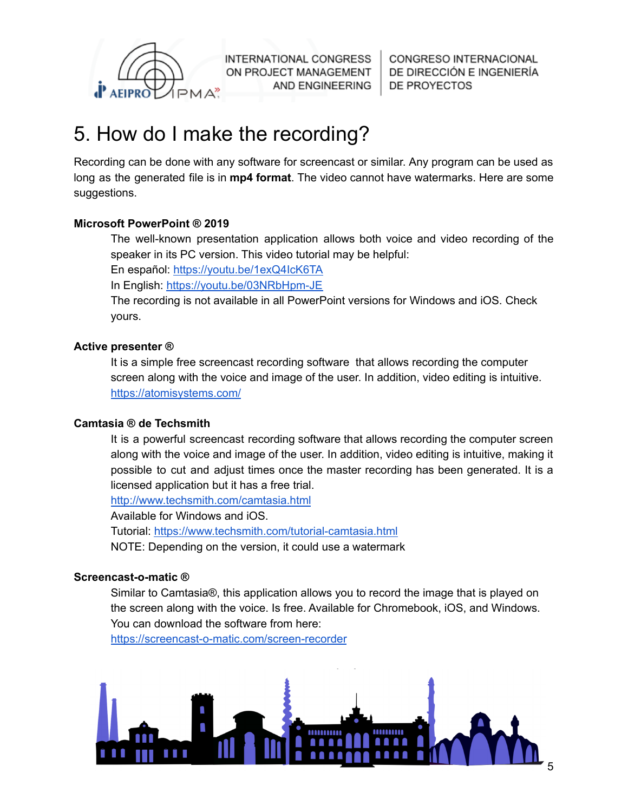

CONGRESO INTERNACIONAL DE DIRECCIÓN E INGENIERÍA **DE PROYECTOS** 

## <span id="page-4-0"></span>5. How do I make the recording?

Recording can be done with any software for screencast or similar. Any program can be used as long as the generated file is in **mp4 format**. The video cannot have watermarks. Here are some suggestions.

#### **Microsoft PowerPoint ® 2019**

The well-known presentation application allows both voice and video recording of the speaker in its PC version. This video tutorial may be helpful:

En español: <https://youtu.be/1exQ4IcK6TA>

In English: <https://youtu.be/03NRbHpm-JE>

The recording is not available in all PowerPoint versions for Windows and iOS. Check yours.

#### **Active presenter ®**

It is a simple free screencast recording software that allows recording the computer screen along with the voice and image of the user. In addition, video editing is intuitive. <https://atomisystems.com/>

#### **Camtasia ® de Techsmith**

It is a powerful screencast recording software that allows recording the computer screen along with the voice and image of the user. In addition, video editing is intuitive, making it possible to cut and adjust times once the master recording has been generated. It is a licensed application but it has a free trial.

<http://www.techsmith.com/camtasia.html>

Available for Windows and iOS.

Tutorial: <https://www.techsmith.com/tutorial-camtasia.html> NOTE: Depending on the version, it could use a watermark

#### **Screencast-o-matic ®**

Similar to Camtasia®, this application allows you to record the image that is played on the screen along with the voice. Is free. Available for Chromebook, iOS, and Windows. You can download the software from here:

<https://screencast-o-matic.com/screen-recorder>

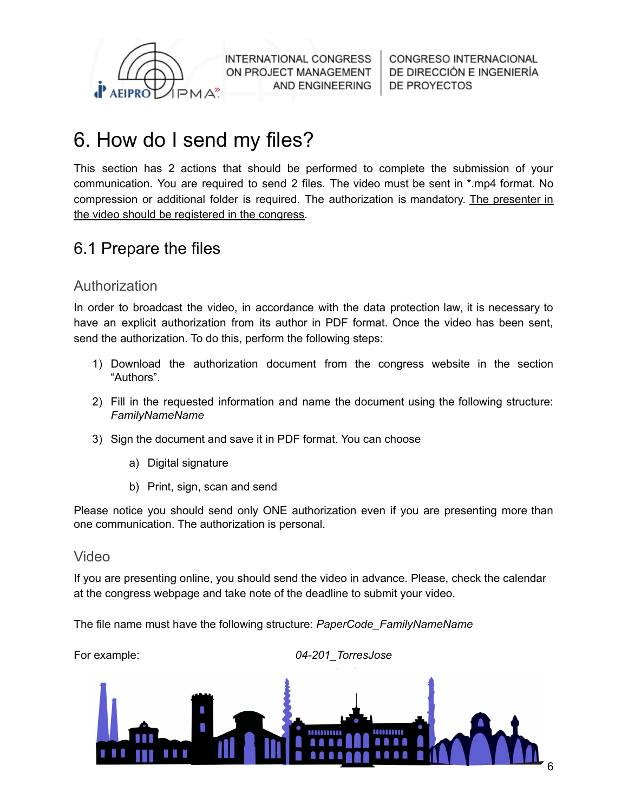

CONGRESO INTERNACIONAL DE DIRECCIÓN E INGENIERÍA **DE PROYECTOS** 

### <span id="page-5-0"></span>6. How do I send my files?

This section has 2 actions that should be performed to complete the submission of your communication. You are required to send 2 files. The video must be sent in \*.mp4 format. No compression or additional folder is required. The authorization is mandatory. The presenter in the video should be registered in the congress.

### <span id="page-5-1"></span>6.1 Prepare the files

#### <span id="page-5-2"></span>Authorization

In order to broadcast the video, in accordance with the data protection law, it is necessary to have an explicit authorization from its author in PDF format. Once the video has been sent, send the authorization. To do this, perform the following steps:

- 1) Download the authorization document from the congress website in the section "Authors".
- 2) Fill in the requested information and name the document using the following structure: *FamilyNameName*
- 3) Sign the document and save it in PDF format. You can choose
	- a) Digital signature
	- b) Print, sign, scan and send

Please notice you should send only ONE authorization even if you are presenting more than one communication. The authorization is personal.

#### <span id="page-5-3"></span>Video

If you are presenting online, you should send the video in advance. Please, check the calendar at the congress webpage and take note of the deadline to submit your video.

The file name must have the following structure: *PaperCode\_FamilyNameName*

For example: *04-201\_TorresJose*

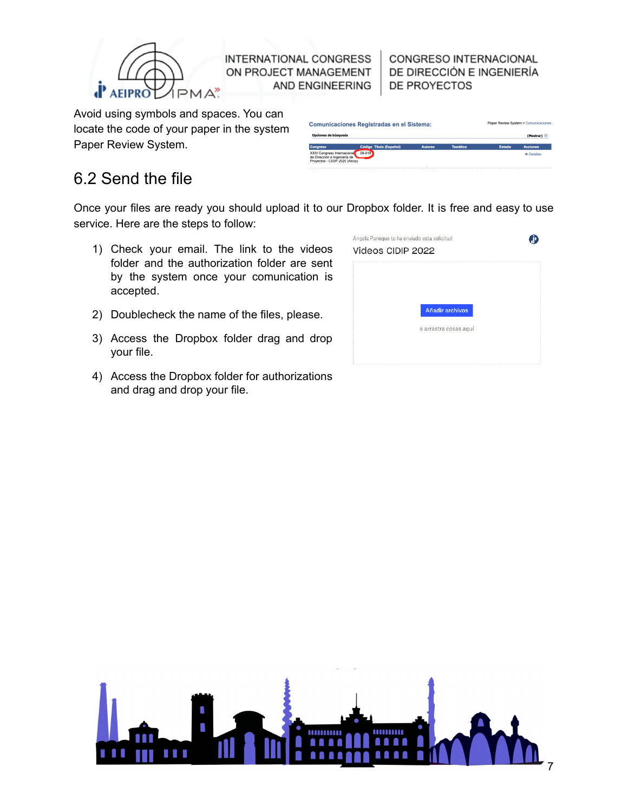

CONGRESO INTERNACIONAL DE DIRECCIÓN E INGENIERÍA DE PROYECTOS

Avoid using symbols and spaces. You can locate the code of your paper in the system Paper Review System.

| <b>Comunicaciones Registradas en el Sistema:</b>                                              |                         |                |                 |        | Paper Review System > Comunicaciones |  |
|-----------------------------------------------------------------------------------------------|-------------------------|----------------|-----------------|--------|--------------------------------------|--|
| Opciones de búsqueda                                                                          |                         |                |                 |        | (Mostrar)                            |  |
| Congreso                                                                                      | Código Título (Español) | <b>Autores</b> | <b>Temática</b> | Estado | <b>Acciones</b>                      |  |
| XXIV Congreso Internacional<br>de Dirección e Ingeniería de<br>Provectos - CIDIP 2020 (Alcov) | 09-019                  |                |                 |        | <b>® Detalles</b>                    |  |

### <span id="page-6-0"></span>6.2 Send the file

Once your files are ready you should upload it to our Dropbox folder. It is free and easy to use service. Here are the steps to follow:

- 1) Check your email. The link to the videos folder and the authorization folder are sent by the system once your comunication is accepted.
- 2) Doublecheck the name of the files, please.
- 3) Access the Dropbox folder drag and drop your file.
- 4) Access the Dropbox folder for authorizations and drag and drop your file.

| Angela Paneque te ha enviado esta solicitud<br>Videos CIDIP 2022 |  |
|------------------------------------------------------------------|--|
|                                                                  |  |
| Añadir archivos                                                  |  |
| o arrastra cosas aquí                                            |  |

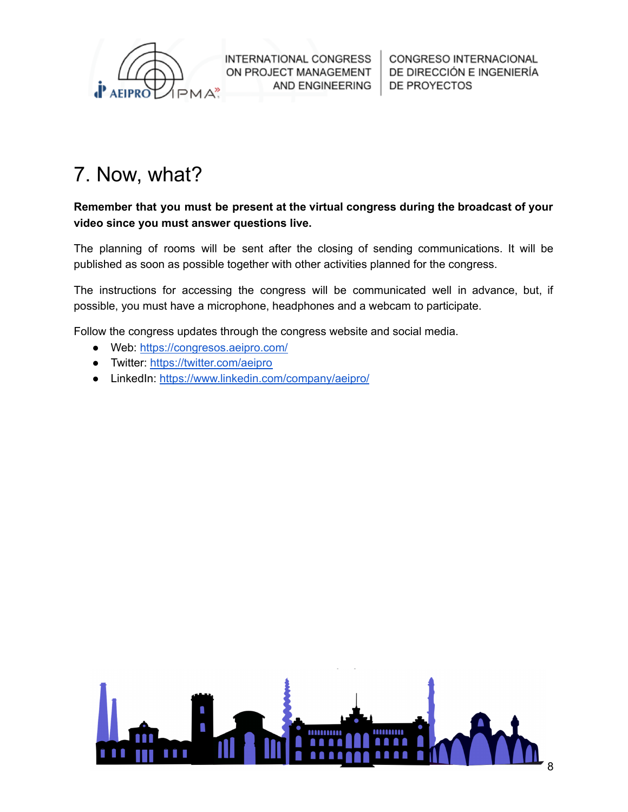

CONGRESO INTERNACIONAL DE DIRECCIÓN E INGENIERÍA **DE PROYECTOS** 

## <span id="page-7-0"></span>7. Now, what?

**Remember that you must be present at the virtual congress during the broadcast of your video since you must answer questions live.**

The planning of rooms will be sent after the closing of sending communications. It will be published as soon as possible together with other activities planned for the congress.

The instructions for accessing the congress will be communicated well in advance, but, if possible, you must have a microphone, headphones and a webcam to participate.

Follow the congress updates through the congress website and social media.

- Web: <https://congresos.aeipro.com/>
- Twitter: <https://twitter.com/aeipro>
- LinkedIn: <https://www.linkedin.com/company/aeipro/>